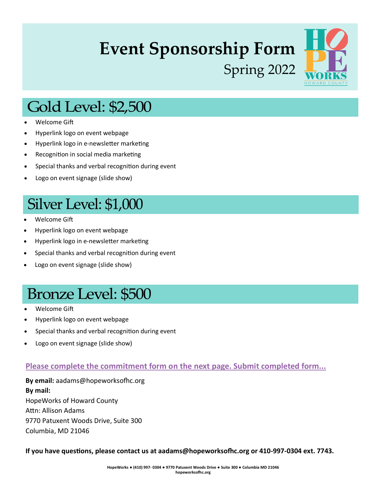## **Event Sponsorship Form** Spring 2022



## **Gold Level: \$2,500**

- Welcome Gift
- Hyperlink logo on event webpage
- Hyperlink logo in e-newsletter marketing
- Recognition in social media marketing
- Special thanks and verbal recognition during event
- Logo on event signage (slide show)

## Silver Level: \$1,000

- Welcome Gift
- Hyperlink logo on event webpage
- Hyperlink logo in e-newsletter marketing
- Special thanks and verbal recognition during event
- Logo on event signage (slide show)

## **Bronze Level: \$500**

- Welcome Gift
- Hyperlink logo on event webpage
- Special thanks and verbal recognition during event
- Logo on event signage (slide show)

#### **Please complete the commitment form on the next page. Submit completed form...**

**By email:** aadams@hopeworksofhc.org **By mail:** HopeWorks of Howard County Attn: Allison Adams 9770 Patuxent Woods Drive, Suite 300 Columbia, MD 21046

**If you have questions, please contact us at aadams@hopeworksofhc.org or 410-997-0304 ext. 7743.**